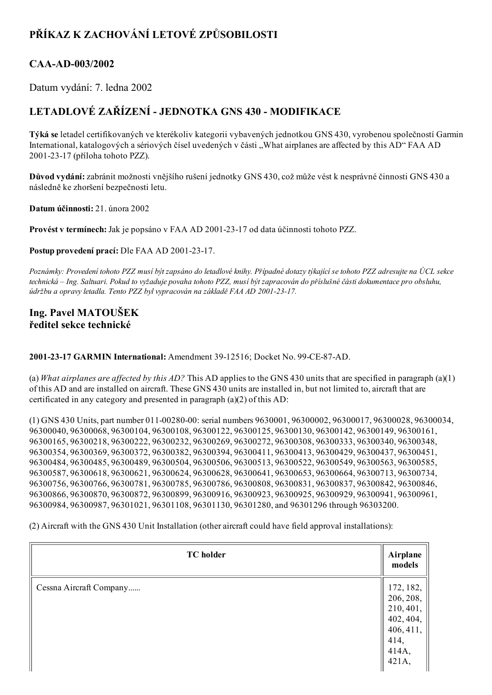# PŘÍKAZ K ZACHOVÁNÍ LETOVÉ ZPŮSOBILOSTI

### CAA-AD-003/2002

Datum vydání: 7. ledna 2002

## LETADLOVÉ ZAŘÍZENÍ JEDNOTKA GNS 430 MODIFIKACE

Týká se letadel certifikovaných ve kterékoliv kategorii vybavených jednotkou GNS 430, vyrobenou společností Garmin International, katalogových a sériových čísel uvedených v části "What airplanes are affected by this AD" FAA AD 20012317 (příloha tohoto PZZ).

Důvod vydání: zabránit možnosti vnějšího rušení jednotky GNS 430, což může vést k nesprávné činnosti GNS 430 a následně ke zhoršení bezpečnosti letu.

Datum účinnosti: 21. února 2002

Provést v termínech: Jak je popsáno v FAA AD 2001-23-17 od data účinnosti tohoto PZZ.

Postup provedení prací: Dle FAA AD 2001-23-17.

Poznámky: Provedení tohoto PZZ musí být zapsáno do letadlové knihy. Případné dotazy týkající se tohoto PZZ adresujte na ÚCL sekce technická – Ing. Saltuari. Pokud to vyžaduje povaha tohoto PZZ, musí být zapracován do příslušné části dokumentace pro obsluhu, údržbu a opravy letadla. Tento PZZ byl vypracován na základě FAA AD 2001-23-17.

### Ing. Pavel MATOUŠEK ředitel sekce technické

2001-23-17 GARMIN International: Amendment 39-12516; Docket No. 99-CE-87-AD.

(a) What airplanes are affected by this AD? This AD applies to the GNS 430 units that are specified in paragraph (a)(1) of this AD and are installed on aircraft. These GNS 430 units are installed in, but not limited to, aircraft that are certificated in any category and presented in paragraph (a)(2) of this AD:

(1) GNS 430 Units, part number 011-00280-00: serial numbers 9630001, 96300002, 96300017, 96300028, 96300034, 96300040, 96300068, 96300104, 96300108, 96300122, 96300125, 96300130, 96300142, 96300149, 96300161, 96300165, 96300218, 96300222, 96300232, 96300269, 96300272, 96300308, 96300333, 96300340, 96300348, 96300354, 96300369, 96300372, 96300382, 96300394, 96300411, 96300413, 96300429, 96300437, 96300451, 96300484, 96300485, 96300489, 96300504, 96300506, 96300513, 96300522, 96300549, 96300563, 96300585, 96300587, 96300618, 96300621, 96300624, 96300628, 96300641, 96300653, 96300664, 96300713, 96300734, 96300756, 96300766, 96300781, 96300785, 96300786, 96300808, 96300831, 96300837, 96300842, 96300846, 96300866, 96300870, 96300872, 96300899, 96300916, 96300923, 96300925, 96300929, 96300941, 96300961, 96300984, 96300987, 96301021, 96301108, 96301130, 96301280, and 96301296 through 96303200.

(2) Aircraft with the GNS 430 Unit Installation (other aircraft could have field approval installations):

| <b>TC</b> holder        | Airplane<br>models                                                                      |
|-------------------------|-----------------------------------------------------------------------------------------|
| Cessna Aircraft Company | 172, 182,<br>206, 208,<br>210, 401,<br>402, 404,<br>406, 411,<br>414,<br>414A,<br>421A, |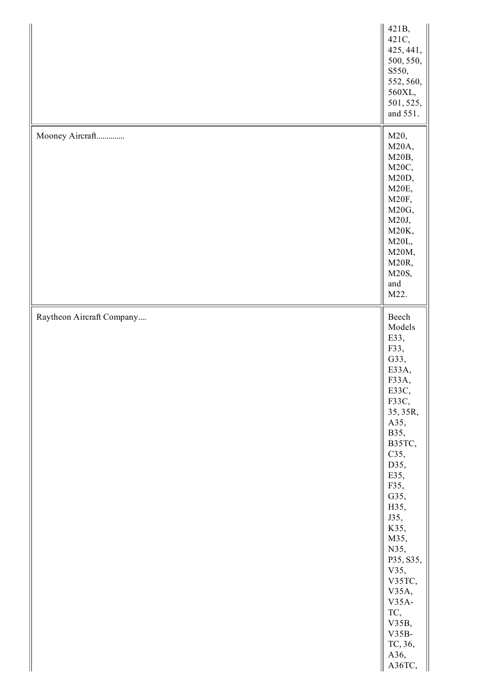|                           | 421B,<br>421C,<br>425, 441,<br>500, 550,<br>S550,<br>552, 560,<br>560XL,<br>501, 525,<br>and 551.                                                                                                                                                                                                            |
|---------------------------|--------------------------------------------------------------------------------------------------------------------------------------------------------------------------------------------------------------------------------------------------------------------------------------------------------------|
| Mooney Aircraft           | M20,<br>M20A,<br>M20B,<br>M20C,<br>M20D,<br>M20E,<br>M20F,<br>M20G,<br>M20J,<br>M20K,<br>M20L,<br>M20M,<br>M20R,<br>M20S,<br>and<br>M22.                                                                                                                                                                     |
| Raytheon Aircraft Company | Beech<br>Models<br>E33,<br>F33,<br>G33,<br>E33A,<br>F33A,<br>E33C,<br>F33C,<br>35, 35R,<br>A35,<br>B35,<br>B35TC,<br>C35,<br>D35,<br>E35,<br>F35,<br>G35,<br>H35,<br>J35,<br>K35,<br>M35,<br>N35,<br>P35, S35,<br>V35,<br>V35TC,<br>V35A,<br>$V35A-$<br>TC,<br>V35B,<br>$V35B-$<br>TC, 36,<br>A36,<br>A36TC, |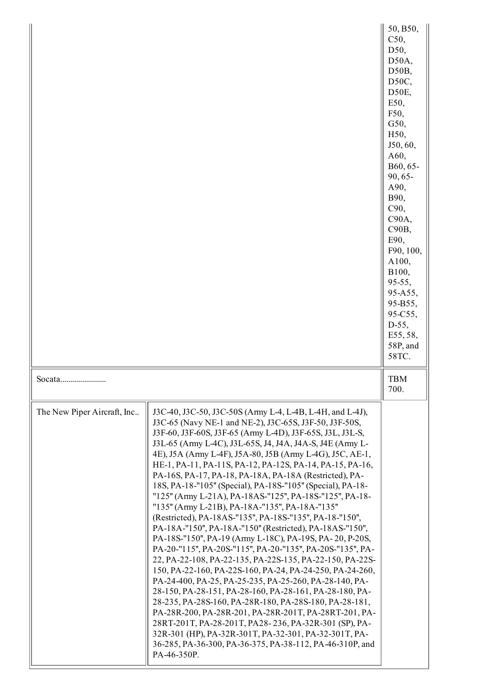|                             |                                                                                                                                                                                                                                                                                                                                                                                                                                                                                                                                                                                                                                                                                                                                                                                                                                                                                                                                                                                                                                                                                                                                                                                                                                                                                                                                                                                                                        | 50, B50,<br>C50,<br>D50,<br>D50A,<br>D50B,<br>D50C,<br>D50E,<br>E50,<br>F50,<br>G50,<br>H <sub>50</sub> ,<br>J50, 60,<br>A60,<br>B60, 65-<br>90, 65-<br>A90,<br>B90,<br>C90,<br>C90A,<br>C90B,<br>E90,<br>F90, 100,<br>A100,<br>B100,<br>95-55,<br>95-A55,<br>95-B55,<br>95-C55,<br>$D-55,$<br>E55, 58,<br>58P, and<br>58TC. |
|-----------------------------|------------------------------------------------------------------------------------------------------------------------------------------------------------------------------------------------------------------------------------------------------------------------------------------------------------------------------------------------------------------------------------------------------------------------------------------------------------------------------------------------------------------------------------------------------------------------------------------------------------------------------------------------------------------------------------------------------------------------------------------------------------------------------------------------------------------------------------------------------------------------------------------------------------------------------------------------------------------------------------------------------------------------------------------------------------------------------------------------------------------------------------------------------------------------------------------------------------------------------------------------------------------------------------------------------------------------------------------------------------------------------------------------------------------------|------------------------------------------------------------------------------------------------------------------------------------------------------------------------------------------------------------------------------------------------------------------------------------------------------------------------------|
| Socata                      |                                                                                                                                                                                                                                                                                                                                                                                                                                                                                                                                                                                                                                                                                                                                                                                                                                                                                                                                                                                                                                                                                                                                                                                                                                                                                                                                                                                                                        | <b>TBM</b><br>700.                                                                                                                                                                                                                                                                                                           |
| The New Piper Aircraft, Inc | J3C-40, J3C-50, J3C-50S (Army L-4, L-4B, L-4H, and L-4J),<br>J3C-65 (Navy NE-1 and NE-2), J3C-65S, J3F-50, J3F-50S,<br>J3F-60, J3F-60S, J3F-65 (Army L-4D), J3F-65S, J3L, J3L-S,<br>J3L-65 (Army L-4C), J3L-65S, J4, J4A, J4A-S, J4E (Army L-<br>4E), J5A (Army L-4F), J5A-80, J5B (Army L-4G), J5C, AE-1,<br>HE-1, PA-11, PA-11S, PA-12, PA-12S, PA-14, PA-15, PA-16,<br>PA-16S, PA-17, PA-18, PA-18A, PA-18A (Restricted), PA-<br>18S, PA-18-"105" (Special), PA-18S-"105" (Special), PA-18-<br>"125" (Army L-21A), PA-18AS-"125", PA-18S-"125", PA-18-<br>"135" (Army L-21B), PA-18A-"135", PA-18A-"135"<br>(Restricted), PA-18AS-"135", PA-18S-"135", PA-18-"150",<br>PA-18A-"150", PA-18A-"150" (Restricted), PA-18AS-"150",<br>PA-18S-"150", PA-19 (Army L-18C), PA-19S, PA-20, P-20S,<br>PA-20-"115", PA-20S-"115", PA-20-"135", PA-20S-"135", PA-<br>22, PA-22-108, PA-22-135, PA-22S-135, PA-22-150, PA-22S-<br>150, PA-22-160, PA-22S-160, PA-24, PA-24-250, PA-24-260,<br>PA-24-400, PA-25, PA-25-235, PA-25-260, PA-28-140, PA-<br>28-150, PA-28-151, PA-28-160, PA-28-161, PA-28-180, PA-<br>28-235, PA-28S-160, PA-28R-180, PA-28S-180, PA-28-181,<br>PA-28R-200, PA-28R-201, PA-28R-201T, PA-28RT-201, PA-<br>28RT-201T, PA-28-201T, PA28-236, PA-32R-301 (SP), PA-<br>32R-301 (HP), PA-32R-301T, PA-32-301, PA-32-301T, PA-<br>36-285, PA-36-300, PA-36-375, PA-38-112, PA-46-310P, and<br>PA-46-350P. |                                                                                                                                                                                                                                                                                                                              |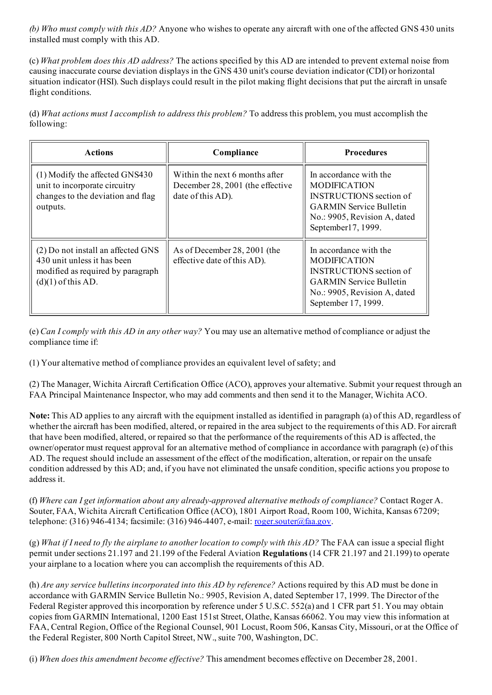(b) Who must comply with this  $AD$ ? Anyone who wishes to operate any aircraft with one of the affected GNS 430 units installed must comply with this AD.

(c) What problem does this AD address? The actions specified by this AD are intended to prevent external noise from causing inaccurate course deviation displays in the GNS 430 unit's course deviation indicator (CDI) or horizontal situation indicator (HSI). Such displays could result in the pilot making flight decisions that put the aircraft in unsafe flight conditions.

(d) What actions must I accomplish to address this problem? To address this problem, you must accomplish the following:

| <b>Actions</b>                                                                                                                 | Compliance                                                                              | <b>Procedures</b>                                                                                                                                                        |
|--------------------------------------------------------------------------------------------------------------------------------|-----------------------------------------------------------------------------------------|--------------------------------------------------------------------------------------------------------------------------------------------------------------------------|
| $(1)$ Modify the affected GNS430<br>unit to incorporate circuitry<br>changes to the deviation and flag<br>outputs.             | Within the next 6 months after<br>December 28, 2001 (the effective<br>date of this AD). | In accordance with the<br><b>MODIFICATION</b><br><b>INSTRUCTIONS</b> section of<br><b>GARMIN Service Bulletin</b><br>No.: 9905, Revision A, dated<br>September17, 1999.  |
| (2) Do not install an affected GNS<br>430 unit unless it has been<br>modified as required by paragraph<br>$(d)(1)$ of this AD. | As of December 28, 2001 (the<br>effective date of this AD).                             | In accordance with the<br><b>MODIFICATION</b><br><b>INSTRUCTIONS</b> section of<br><b>GARMIN Service Bulletin</b><br>No.: 9905, Revision A, dated<br>September 17, 1999. |

(e) Can I comply with this AD in any other way? You may use an alternative method of compliance or adjust the compliance time if:

(1) Your alternative method of compliance provides an equivalent level ofsafety; and

(2) The Manager, Wichita Aircraft Certification Office (ACO), approves your alternative. Submit your request through an FAA Principal Maintenance Inspector, who may add comments and then send it to the Manager, Wichita ACO.

Note: This AD applies to any aircraft with the equipment installed as identified in paragraph (a) of this AD, regardless of whether the aircraft has been modified, altered, or repaired in the area subject to the requirements of this AD. For aircraft that have been modified, altered, or repaired so that the performance of the requirements of this AD is affected, the owner/operator must request approval for an alternative method of compliance in accordance with paragraph (e) of this AD. The request should include an assessment of the effect of the modification, alteration, or repair on the unsafe condition addressed by this AD; and, if you have not eliminated the unsafe condition, specific actions you propose to address it.

(f) Where can I get information about any already-approved alternative methods of compliance? Contact Roger A. Souter, FAA, Wichita Aircraft Certification Office (ACO), 1801 Airport Road, Room 100, Wichita, Kansas 67209; telephone: (316) 946-4134; facsimile: (316) 946-4407, e-mail: <u>[roger.souter@faa.gov](mailto:roger.souter@faa.gov)</u>.

(g) What if I need to fly the airplane to another location to comply with this  $AD$ ? The FAA can issue a special flight permit under sections 21.197 and 21.199 of the Federal Aviation Regulations (14 CFR 21.197 and 21.199) to operate your airplane to a location where you can accomplish the requirements of this AD.

(h) Are any service bulletins incorporated into this AD by reference? Actions required by this AD must be done in accordance with GARMIN Service Bulletin No.: 9905, Revision A, dated September 17, 1999. The Director of the Federal Register approved this incorporation by reference under 5 U.S.C. 552(a) and 1 CFR part 51. You may obtain copies from GARMIN International, 1200 East 151st Street, Olathe, Kansas 66062. You may view this information at FAA, Central Region, Office of the Regional Counsel, 901 Locust, Room 506, Kansas City, Missouri, or at the Office of the Federal Register, 800 North Capitol Street, NW., suite 700, Washington, DC.

(i) When does this amendment become effective? This amendment becomes effective on December 28, 2001.